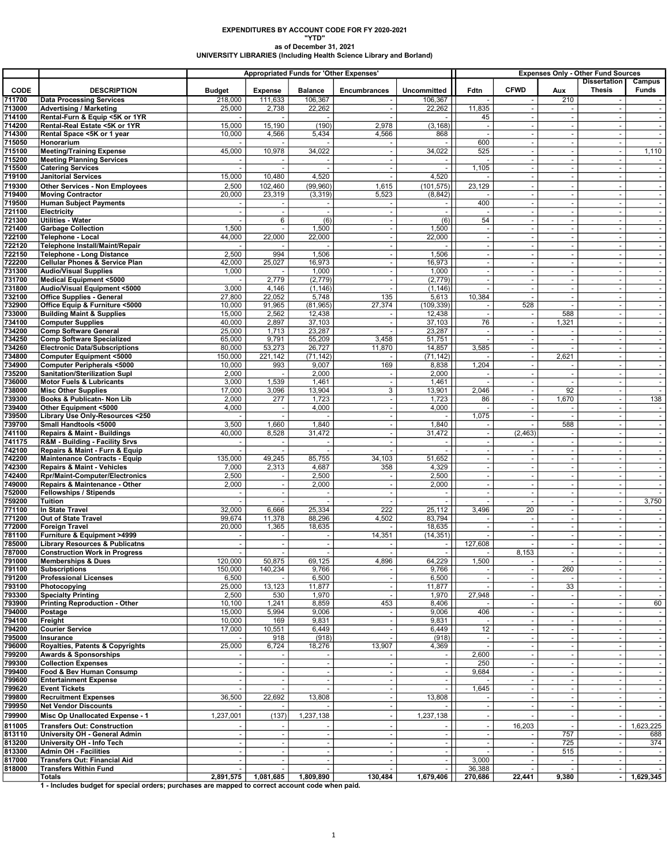## EXPENDITURES BY ACCOUNT CODE FOR FY 2020-2021 "YTD" as of December 31, 2021 UNIVERSITY LIBRARIES (Including Health Science Library and Borland)

|                  |                                                                                                 |                          |                           | <b>Appropriated Funds for 'Other Expenses'</b> |                                    |                               |                          | <b>Expenses Only - Other Fund Sources</b> |                                                      |                                      |                          |
|------------------|-------------------------------------------------------------------------------------------------|--------------------------|---------------------------|------------------------------------------------|------------------------------------|-------------------------------|--------------------------|-------------------------------------------|------------------------------------------------------|--------------------------------------|--------------------------|
| <b>CODE</b>      |                                                                                                 |                          |                           |                                                |                                    |                               | Fdtn                     | <b>CFWD</b>                               |                                                      | <b>Dissertation</b><br><b>Thesis</b> | Campus<br>Funds          |
| 711700           | <b>DESCRIPTION</b><br><b>Data Processing Services</b>                                           | <b>Budget</b><br>218,000 | <b>Expense</b><br>111,633 | <b>Balance</b><br>106,367                      | Encumbrances                       | <b>Uncommitted</b><br>106,367 |                          |                                           | Aux<br>210                                           |                                      |                          |
| 713000           | <b>Advertising / Marketing</b>                                                                  | 25,000                   | 2,738                     | 22,262                                         |                                    | 22,262                        | 11,835                   |                                           |                                                      |                                      |                          |
| 714100           | Rental-Furn & Equip <5K or 1YR                                                                  |                          |                           |                                                |                                    |                               | 45                       | $\omega$                                  | $\overline{\phantom{a}}$                             |                                      |                          |
| 714200           | Rental-Real Estate <5K or 1YR                                                                   | 15,000                   | 15,190                    | (190)                                          | 2,978                              | (3, 168)                      | $\overline{\phantom{a}}$ | $\sim$                                    | $\blacksquare$                                       |                                      | $\blacksquare$           |
| 714300           | Rental Space <5K or 1 year                                                                      | 10,000                   | 4,566                     | 5,434                                          | 4,566                              | 868                           |                          |                                           |                                                      |                                      |                          |
| 715050<br>715100 | Honorarium                                                                                      | 45,000                   | 10,978                    | 34,022                                         |                                    | 34,022                        | 600<br>525               | $\sim$<br>$\sim$                          | $\omega$                                             | $\sim$<br>$\sim$                     | $\sim$                   |
| 715200           | <b>Meeting/Training Expense</b><br><b>Meeting Planning Services</b>                             |                          |                           |                                                | $\blacksquare$                     |                               |                          |                                           | $\blacksquare$<br>$\sim$                             |                                      | 1,110                    |
| 715500           | <b>Catering Services</b>                                                                        |                          |                           |                                                |                                    |                               | 1,105                    | $\sim$                                    | $\overline{\phantom{a}}$                             | $\sim$                               |                          |
| 719100           | <b>Janitorial Services</b>                                                                      | 15,000                   | 10,480                    | 4,520                                          |                                    | 4,520                         |                          | $\sim$                                    |                                                      |                                      |                          |
| 719300           | <b>Other Services - Non Employees</b>                                                           | 2,500                    | 102,460                   | (99,960)                                       | 1,615                              | (101, 575)                    | 23,129                   | $\sim$                                    | $\overline{\phantom{a}}$                             | $\sim$                               |                          |
| 719400           | <b>Moving Contractor</b>                                                                        | 20,000                   | 23,319                    | (3, 319)                                       | 5,523                              | (8, 842)                      |                          | $\overline{\phantom{a}}$                  | $\blacksquare$                                       | $\sim$                               | $\sim$                   |
| 719500           | <b>Human Subject Payments</b>                                                                   | $\sim$                   |                           |                                                | $\overline{\phantom{a}}$           | $\sim$                        | 400                      | $\omega$                                  | $\blacksquare$                                       | $\sim$                               |                          |
| 721100           | Electricity                                                                                     | $\omega$                 | $\blacksquare$            |                                                | $\sim$                             | $\sim$                        |                          | $\sim$                                    | $\omega$                                             | $\sim$                               | $\sim$                   |
| 721300<br>721400 | <b>Utilities - Water</b><br><b>Garbage Collection</b>                                           | 1,500                    | 6                         | (6)<br>1,500                                   | $\sim$                             | (6)<br>1,500                  | 54<br>÷.                 |                                           | $\overline{\phantom{a}}$<br>$\blacksquare$           | $\overline{a}$<br>$\overline{a}$     |                          |
| 722100           | Telephone - Local                                                                               | 44,000                   | 22,000                    | 22,000                                         | $\overline{\phantom{a}}$           | 22,000                        | $\overline{\phantom{a}}$ | $\sim$                                    | $\blacksquare$                                       | $\overline{\phantom{a}}$             | $\sim$                   |
| 722120           | Telephone Install/Maint/Repair                                                                  |                          |                           |                                                | $\sim$                             |                               |                          |                                           |                                                      |                                      |                          |
| 722150           | <b>Telephone - Long Distance</b>                                                                | 2,500                    | 994                       | 1,506                                          | $\sim$                             | 1,506                         | $\sim$                   | $\omega$                                  | $\omega$                                             | $\sim$                               | $\sim$                   |
| 722200           | <b>Cellular Phones &amp; Service Plan</b>                                                       | 42,000                   | 25,027                    | 16,973                                         | $\sim$                             | 16,973                        |                          | $\sim$                                    | $\overline{\phantom{a}}$                             | $\sim$                               | $\sim$                   |
| 731300           | <b>Audio/Visual Supplies</b>                                                                    | 1,000                    |                           | 1,000                                          |                                    | 1,000                         |                          | $\sim$                                    |                                                      | $\overline{a}$                       |                          |
| 731700<br>731800 | Medical Equipment <5000<br>Audio/Visual Equipment <5000                                         | ÷.<br>3,000              | 2,779<br>4,146            | (2,779)<br>(1, 146)                            | $\sim$<br>$\overline{\phantom{a}}$ | (2,779)<br>(1, 146)           | $\sim$                   | $\overline{\phantom{a}}$                  | $\overline{\phantom{a}}$                             | $\sim$<br>$\sim$                     | $\sim$                   |
| 732100           | <b>Office Supplies - General</b>                                                                | 27,800                   | 22,052                    | 5,748                                          | 135                                | 5,613                         | 10,384                   | $\overline{\phantom{a}}$                  | $\overline{\phantom{a}}$<br>$\omega$                 | $\sim$                               | $\sim$                   |
| 732900           | Office Equip & Furniture <5000                                                                  | 10,000                   | 91,965                    | (81, 965)                                      | 27,374                             | (109, 339)                    |                          | 528                                       | $\sim$                                               |                                      |                          |
| 733000           | <b>Building Maint &amp; Supplies</b>                                                            | 15,000                   | 2,562                     | 12,438                                         |                                    | 12,438                        |                          | $\overline{\phantom{a}}$                  | 588                                                  |                                      |                          |
| 734100           | <b>Computer Supplies</b>                                                                        | 40,000                   | 2,897                     | 37,103                                         | $\sim$                             | 37,103                        | 76                       | $\sim$                                    | 1,321                                                | $\sim$                               | $\sim$                   |
| 734200           | <b>Comp Software General</b>                                                                    | 25,000                   | 1,713                     | 23,287                                         |                                    | 23,287                        | $\overline{\phantom{a}}$ |                                           | $\overline{\phantom{a}}$                             | $\sim$                               |                          |
| 734250           | <b>Comp Software Specialized</b>                                                                | 65,000                   | 9,791                     | 55,209                                         | 3,458                              | 51,751                        |                          | $\sim$                                    | $\sim$                                               | $\sim$                               |                          |
| 734260<br>734800 | <b>Electronic Data/Subscriptions</b><br><b>Computer Equipment &lt;5000</b>                      | 80,000<br>150.000        | 53,273<br>221,142         | 26,727<br>(71, 142)                            | 11,870                             | 14,857<br>(71, 142)           | 3,585                    | $\sim$                                    | $\omega$<br>2,621                                    | $\sim$                               | $\sim$                   |
| 734900           | <b>Computer Peripherals &lt;5000</b>                                                            | 10,000                   | 993                       | 9,007                                          | 169                                | 8,838                         | 1,204                    | $\overline{\phantom{a}}$                  |                                                      | $\sim$                               | $\sim$                   |
| 735200           | Sanitation/Sterilization Supl                                                                   | 2,000                    | ÷.                        | 2,000                                          | $\sim$                             | 2,000                         |                          |                                           | $\blacksquare$                                       |                                      |                          |
| 736000           | <b>Motor Fuels &amp; Lubricants</b>                                                             | 3,000                    | 1,539                     | 1,461                                          | $\overline{\phantom{a}}$           | 1,461                         |                          | $\omega$                                  | $\sim$                                               | $\sim$                               | $\sim$                   |
| 738000           | <b>Misc Other Supplies</b>                                                                      | 17,000                   | 3,096                     | 13,904                                         | 3                                  | 13,901                        | 2,046                    |                                           | 92                                                   |                                      | $\overline{\phantom{a}}$ |
| 739300           | Books & Publicatn- Non Lib                                                                      | 2,000                    | 277                       | 1,723                                          | $\overline{\phantom{a}}$           | 1,723                         | 86                       | $\sim$                                    | 1,670                                                | $\sim$                               | 138                      |
| 739400           | Other Equipment <5000                                                                           | 4,000                    | $\overline{\phantom{a}}$  | 4,000                                          | $\sim$<br>$\sim$                   | 4,000                         |                          | $\overline{\phantom{a}}$                  | $\overline{\phantom{a}}$                             | $\overline{\phantom{a}}$             | $\overline{\phantom{a}}$ |
| 739500<br>739700 | Library Use Only-Resources <250<br>Small Handtools <5000                                        | 3,500                    | 1,660                     | 1,840                                          | $\mathbf{r}$                       | 1,840                         | 1,075                    |                                           | 588                                                  | $\omega$                             | $\sim$                   |
| 741100           | <b>Repairs &amp; Maint - Buildings</b>                                                          | 40,000                   | 8,528                     | 31,472                                         | $\sim$                             | 31,472                        | $\overline{\phantom{a}}$ | (2, 463)                                  | $\overline{\phantom{a}}$                             | $\overline{\phantom{a}}$             | $\sim$                   |
| 741175           | R&M - Building - Facility Srvs                                                                  |                          |                           |                                                |                                    |                               |                          |                                           |                                                      |                                      |                          |
| 742100           | Repairs & Maint - Furn & Equip                                                                  | ÷.                       | ÷,                        |                                                |                                    | $\sim$                        | $\sim$                   |                                           | $\overline{\phantom{a}}$                             | $\sim$                               | $\sim$                   |
| 742200           | <b>Maintenance Contracts - Equip</b>                                                            | 135,000                  | 49,245                    | 85,755                                         | 34,103                             | 51,652                        | $\blacksquare$           | $\sim$                                    | $\overline{\phantom{a}}$                             | $\sim$                               |                          |
| 742300           | <b>Repairs &amp; Maint - Vehicles</b>                                                           | 7,000                    | 2,313                     | 4,687                                          | 358                                | 4,329                         | $\sim$                   | $\omega$                                  | $\omega$                                             | $\sim$                               | $\sim$                   |
| 742400<br>749000 | Rpr/Maint-Computer/Electronics<br>Repairs & Maintenance - Other                                 | 2,500<br>2,000           | $\overline{\phantom{a}}$  | 2,500<br>2,000                                 | $\overline{\phantom{a}}$           | 2,500<br>2,000                |                          | ÷.                                        | $\overline{\phantom{a}}$<br>$\overline{\phantom{a}}$ |                                      | $\sim$                   |
| 752000           | <b>Fellowships / Stipends</b>                                                                   | $\sim$                   | $\blacksquare$            |                                                | $\overline{\phantom{a}}$           | $\sim$                        | $\sim$                   | $\sim$                                    | $\blacksquare$                                       | $\overline{\phantom{a}}$             | $\sim$                   |
| 759200           | <b>Tuition</b>                                                                                  |                          |                           |                                                |                                    | $\omega$                      |                          |                                           |                                                      | $\sim$                               | 3,750                    |
| 771100           | In State Travel                                                                                 | 32,000                   | 6,666                     | 25,334                                         | 222                                | 25,112                        | 3,496                    | 20                                        | $\blacksquare$                                       | $\sim$                               |                          |
| 771200           | Out of State Travel                                                                             | 99,674                   | 11,378                    | 88,296                                         | 4,502                              | 83,794                        |                          |                                           | $\blacksquare$                                       | $\sim$                               | $\sim$                   |
| 772000           | <b>Foreign Travel</b>                                                                           | 20,000                   | 1,365                     | 18,635                                         |                                    | 18,635                        |                          |                                           |                                                      | $\overline{a}$                       |                          |
| 781100<br>785000 | Furniture & Equipment >4999<br><b>Library Resources &amp; Publicatns</b>                        |                          | $\blacksquare$            |                                                | 14,351                             | (14, 351)<br>$\blacksquare$   | 127,608                  |                                           | $\overline{\phantom{a}}$                             | $\sim$                               | $\sim$                   |
| 787000           | <b>Construction Work in Progress</b>                                                            | $\sim$                   | $\sim$                    | $\sim$                                         | $\sim$                             | $\sim$                        | $\sim$                   | 8,153                                     | $\sim$                                               | $\omega$                             | $\sim$                   |
| 791000           | Memberships & Dues                                                                              | 120,000                  | 50,875                    | 69,125                                         | 4,896                              | 64,229                        | 1,500                    |                                           |                                                      |                                      |                          |
| 791100           | <b>Subscriptions</b>                                                                            | 150,000                  | 140,234                   | 9,766                                          |                                    | 9,766                         |                          |                                           | 260                                                  |                                      |                          |
| 791200           | <b>Professional Licenses</b>                                                                    | 6,500                    |                           | 6,500                                          |                                    | 6,500                         |                          |                                           |                                                      | $\overline{\phantom{a}}$             | $\sim$                   |
| 793100           | Photocopying                                                                                    | 25,000                   | 13,123                    | 11,877                                         |                                    | 11,877                        |                          |                                           | 33                                                   |                                      |                          |
| 793300           | <b>Specialty Printing</b><br><b>Printing Reproduction - Other</b>                               | 2,500                    | 530                       | 1,970                                          |                                    | 1,970                         | 27,948                   |                                           | $\sim$                                               |                                      | $\sim$                   |
| 793900<br>794000 | Postage                                                                                         | 10,100<br>15,000         | 1,241<br>5,994            | 8,859<br>9,006                                 | 453                                | 8,406<br>9,006                | 406                      |                                           | $\blacksquare$                                       |                                      | 60                       |
| 794100           | Freight                                                                                         | 10,000                   | 169                       | 9,831                                          | $\overline{\phantom{a}}$           | 9,831                         |                          | $\overline{\phantom{a}}$                  | $\overline{\phantom{a}}$                             | $\sim$                               | $\sim$                   |
| 794200           | <b>Courier Service</b>                                                                          | 17,000                   | 10,551                    | 6,449                                          | $\sim$                             | 6,449                         | 12                       |                                           | $\overline{\phantom{a}}$                             |                                      |                          |
| 795000           | Insurance                                                                                       |                          | 918                       | (918)                                          |                                    | (918)                         | ٠.                       |                                           | $\omega$                                             |                                      |                          |
| 796000           | Royalties, Patents & Copyrights                                                                 | 25,000                   | 6,724                     | 18,276                                         | 13,907                             | 4,369                         |                          |                                           | $\overline{\phantom{a}}$                             |                                      |                          |
| 799200           | <b>Awards &amp; Sponsorships</b>                                                                | $\sim$                   |                           |                                                |                                    | $\blacksquare$                | 2,600                    |                                           |                                                      |                                      |                          |
| 799300<br>799400 | <b>Collection Expenses</b><br>Food & Bev Human Consump                                          |                          |                           |                                                | $\blacksquare$                     | $\sim$                        | 250<br>9,684             | $\overline{\phantom{a}}$                  | $\overline{\phantom{a}}$                             |                                      | $\sim$                   |
| 799600           | <b>Entertainment Expense</b>                                                                    | $\sim$                   | $\sim$                    | $\sim$                                         | $\mathbf{r}$                       | $\sim$                        |                          |                                           | $\omega$                                             | ÷.                                   | $\sim$                   |
| 799620           | <b>Event Tickets</b>                                                                            |                          |                           |                                                |                                    |                               | 1,645                    |                                           | $\overline{\phantom{a}}$                             |                                      |                          |
| 799800           | <b>Recruitment Expenses</b>                                                                     | 36,500                   | 22,692                    | 13,808                                         |                                    | 13,808                        |                          |                                           |                                                      |                                      |                          |
| 799950           | <b>Net Vendor Discounts</b>                                                                     |                          |                           |                                                | $\sim$                             |                               |                          |                                           | $\blacksquare$                                       |                                      | $\sim$                   |
| 799900           | Misc Op Unallocated Expense - 1                                                                 | 1,237,001                | (137)                     | 1,237,138                                      |                                    | 1,237,138                     |                          |                                           |                                                      |                                      | $\sim$                   |
| 811005           | <b>Transfers Out: Construction</b>                                                              |                          |                           |                                                | $\ddot{\phantom{1}}$               |                               |                          | 16,203                                    |                                                      |                                      | 1,623,225                |
| 813110           | University OH - General Admin                                                                   | $\sim$                   | $\sim$                    |                                                | $\overline{\phantom{a}}$           | $\sim$                        |                          |                                           | 757                                                  |                                      | 688                      |
| 813200           | University OH - Info Tech                                                                       |                          |                           |                                                |                                    | $\sim$                        |                          |                                           | 725                                                  |                                      | 374                      |
| 813300<br>817000 | <b>Admin OH - Facilities</b><br>Transfers Out: Financial Aid                                    |                          | $\sim$                    |                                                | $\blacksquare$                     | $\sim$<br>$\sim$              | 3,000                    |                                           | 515<br>$\overline{\phantom{a}}$                      | $\sim$                               | $\blacksquare$           |
| 818000           | <b>Transfers Within Fund</b>                                                                    |                          |                           |                                                |                                    |                               | 36,388                   |                                           |                                                      |                                      |                          |
|                  | Totals                                                                                          | 2,891,575                | 1,081,685                 | 1,809,890                                      | 130,484                            | 1,679,406                     | 270,686                  | 22,441                                    | 9,380                                                |                                      | 1,629,345                |
|                  | 1 - Includes budget for special orders; purchases are mapped to correct account code when paid. |                          |                           |                                                |                                    |                               |                          |                                           |                                                      |                                      |                          |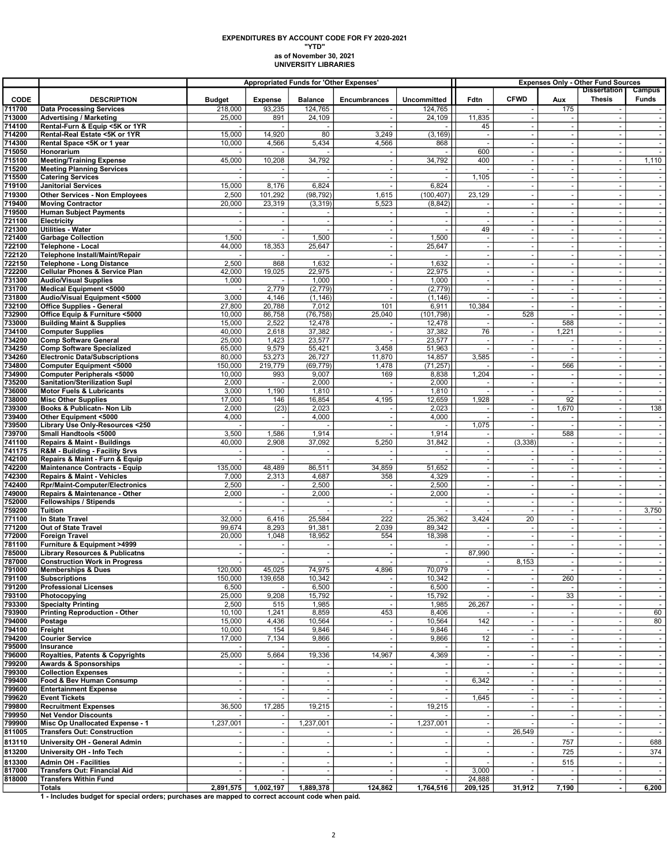## as of November 30, 2021 UNIVERSITY LIBRARIES EXPENDITURES BY ACCOUNT CODE FOR FY 2020-2021 "YTD"

|                       |                                                                             |                          |                          |                           | <b>Appropriated Funds for 'Other Expenses'</b> | <b>Expenses Only - Other Fund Sources</b> |                          |                          |                                                      |                                                      |                          |
|-----------------------|-----------------------------------------------------------------------------|--------------------------|--------------------------|---------------------------|------------------------------------------------|-------------------------------------------|--------------------------|--------------------------|------------------------------------------------------|------------------------------------------------------|--------------------------|
|                       | <b>DESCRIPTION</b>                                                          |                          |                          |                           |                                                |                                           |                          | <b>CFWD</b>              |                                                      | <b>Dissertation</b><br><b>Thesis</b>                 | Campus<br><b>Funds</b>   |
| <b>CODE</b><br>711700 | <b>Data Processing Services</b>                                             | <b>Budget</b><br>218,000 | <b>Expense</b><br>93,235 | <b>Balance</b><br>124,765 | Encumbrances                                   | <b>Uncommitted</b><br>124,765             | Fdtn                     |                          | Aux<br>175                                           |                                                      |                          |
| 713000                | <b>Advertising / Marketing</b>                                              | 25,000                   | 891                      | 24,109                    |                                                | 24,109                                    | 11,835                   |                          | $\overline{\phantom{a}}$                             |                                                      | $\sim$                   |
| 714100                | Rental-Furn & Equip <5K or 1YR                                              |                          |                          |                           |                                                |                                           | 45                       |                          | $\overline{\phantom{a}}$                             |                                                      |                          |
| 714200                | Rental-Real Estate <5K or 1YR                                               | 15,000                   | 14,920                   | 80                        | 3,249                                          | (3, 169)                                  | ÷.                       | $\sim$                   | $\sim$                                               | ÷.                                                   | $\sim$                   |
| 714300                | Rental Space <5K or 1 year                                                  | 10,000                   | 4,566                    | 5,434                     | 4,566                                          | 868                                       |                          | $\overline{\phantom{a}}$ | $\overline{\phantom{a}}$                             | $\overline{\phantom{a}}$                             | $\overline{\phantom{a}}$ |
| 715050                | Honorarium                                                                  |                          |                          |                           |                                                |                                           | 600                      | $\sim$                   | $\blacksquare$                                       | ÷,                                                   |                          |
| 715100<br>715200      | <b>Meeting/Training Expense</b><br><b>Meeting Planning Services</b>         | 45,000                   | 10,208                   | 34,792                    |                                                | 34,792                                    | 400                      | $\overline{\phantom{a}}$ | $\overline{\phantom{a}}$<br>$\blacksquare$           | $\overline{\phantom{a}}$<br>$\overline{\phantom{a}}$ | 1,110                    |
| 715500                | <b>Catering Services</b>                                                    |                          | $\sim$                   |                           |                                                |                                           | 1,105                    | ÷,                       | $\sim$                                               | $\sim$                                               | $\sim$                   |
| 719100                | <b>Janitorial Services</b>                                                  | 15,000                   | 8,176                    | 6,824                     | $\sim$                                         | 6,824                                     |                          | $\overline{\phantom{a}}$ | $\blacksquare$                                       | $\sim$                                               | $\sim$                   |
| 719300                | <b>Other Services - Non Employees</b>                                       | 2,500                    | 101,292                  | (98, 792)                 | 1,615                                          | (100, 407)                                | 23,129                   |                          | $\sim$                                               | ÷,                                                   |                          |
| 719400                | <b>Moving Contractor</b>                                                    | 20,000                   | 23,319                   | (3, 319)                  | 5,523                                          | (8, 842)                                  |                          | $\sim$                   | $\mathbf{r}$                                         | $\sim$                                               |                          |
| 719500                | Human Subject Payments                                                      |                          |                          |                           |                                                | $\overline{\phantom{a}}$                  |                          | $\sim$                   | $\overline{\phantom{a}}$                             | $\sim$                                               | $\blacksquare$           |
| 721100                | <b>Electricity</b>                                                          |                          |                          |                           |                                                |                                           |                          |                          | $\mathbf{r}$                                         | ÷                                                    |                          |
| 721300                | <b>Utilities - Water</b>                                                    |                          | $\blacksquare$           |                           | $\sim$                                         |                                           | 49                       | $\sim$                   | $\overline{\phantom{a}}$                             | $\overline{\phantom{a}}$                             | $\sim$                   |
| 721400                | <b>Garbage Collection</b>                                                   | 1,500<br>44,000          | ÷,<br>18,353             | 1,500<br>25,647           | $\sim$<br>$\sim$                               | 1,500<br>25,647                           | $\sim$<br>÷.             | $\sim$<br>$\sim$         | $\blacksquare$<br>$\sim$                             | $\overline{\phantom{a}}$<br>$\sim$                   | $\sim$<br>$\sim$         |
| 722100<br>722120      | <b>Telephone - Local</b><br>Telephone Install/Maint/Repair                  |                          |                          |                           |                                                |                                           |                          |                          | $\overline{\phantom{a}}$                             | $\sim$                                               |                          |
| 722150                | <b>Telephone - Long Distance</b>                                            | 2,500                    | 868                      | 1,632                     |                                                | 1,632                                     |                          |                          | $\sim$                                               | ÷                                                    |                          |
| 722200                | <b>Cellular Phones &amp; Service Plan</b>                                   | 42,000                   | 19,025                   | 22,975                    | $\sim$                                         | 22,975                                    | $\overline{\phantom{a}}$ | $\sim$                   | $\overline{\phantom{a}}$                             | $\overline{\phantom{a}}$                             | $\sim$                   |
| 731300                | <b>Audio/Visual Supplies</b>                                                | 1,000                    |                          | 1,000                     |                                                | 1,000                                     |                          |                          | $\sim$                                               | ÷,                                                   |                          |
| 731700                | Medical Equipment <5000                                                     |                          | 2,779                    | (2,779)                   | $\sim$                                         | (2, 779)                                  | $\overline{\phantom{a}}$ | $\sim$                   | $\sim$                                               | $\overline{\phantom{a}}$                             | $\sim$                   |
| 731800                | Audio/Visual Equipment <5000                                                | 3,000                    | 4,146                    | (1, 146)                  |                                                | (1, 146)                                  |                          | $\overline{\phantom{a}}$ | $\overline{\phantom{a}}$                             | $\sim$                                               | $\sim$                   |
| 732100                | <b>Office Supplies - General</b>                                            | 27,800<br>10,000         | 20,788<br>86,758         | 7,012                     | 101                                            | 6,911                                     | 10,384                   | 528                      | $\overline{\phantom{a}}$<br>$\sim$                   | ٠<br>$\sim$                                          | $\sim$                   |
| 732900<br>733000      | Office Equip & Furniture <5000<br><b>Building Maint &amp; Supplies</b>      | 15,000                   | 2,522                    | (76, 758)<br>12,478       | 25,040                                         | (101, 798)<br>12,478                      |                          |                          | 588                                                  | $\sim$                                               |                          |
| 734100                | <b>Computer Supplies</b>                                                    | 40,000                   | 2,618                    | 37,382                    | ÷.                                             | 37,382                                    | 76                       | $\overline{\phantom{a}}$ | 1,221                                                | $\sim$                                               | $\sim$                   |
| 734200                | <b>Comp Software General</b>                                                | 25,000                   | 1,423                    | 23,577                    |                                                | 23,577                                    |                          |                          | $\overline{\phantom{a}}$                             | $\overline{\phantom{a}}$                             |                          |
| 734250                | <b>Comp Software Specialized</b>                                            | 65,000                   | 9,579                    | 55,421                    | 3,458                                          | 51,963                                    |                          |                          | $\overline{\phantom{a}}$                             | ٠                                                    |                          |
| 734260                | <b>Electronic Data/Subscriptions</b>                                        | 80,000                   | 53,273                   | 26,727                    | 11,870                                         | 14,857                                    | 3,585                    | $\sim$                   | $\sim$                                               | $\overline{\phantom{a}}$                             | $\sim$                   |
| 734800                | <b>Computer Equipment &lt;5000</b>                                          | 150,000                  | 219,779                  | (69, 779)                 | 1,478                                          | (71, 257)                                 |                          |                          | 566                                                  | $\overline{\phantom{a}}$                             |                          |
| 734900                | Computer Peripherals <5000                                                  | 10,000                   | 993                      | 9,007                     | 169                                            | 8,838                                     | 1,204                    | $\sim$                   | $\sim$                                               | $\sim$                                               | $\sim$                   |
| 735200<br>736000      | <b>Sanitation/Sterilization Supl</b><br><b>Motor Fuels &amp; Lubricants</b> | 2,000<br>3,000           | 1,190                    | 2,000<br>1,810            |                                                | 2,000<br>1,810                            |                          |                          | $\overline{\phantom{a}}$                             | $\sim$<br>÷                                          | $\overline{\phantom{a}}$ |
| 738000                | <b>Misc Other Supplies</b>                                                  | 17,000                   | 146                      | 16,854                    | 4,195                                          | 12,659                                    | 1,928                    | $\sim$                   | 92                                                   | $\overline{\phantom{a}}$                             | $\sim$                   |
| 739300                | Books & Publicatn- Non Lib                                                  | 2,000                    | (23)                     | 2,023                     |                                                | 2,023                                     |                          | $\sim$                   | 1,670                                                | $\sim$                                               | 138                      |
| 739400                | Other Equipment <5000                                                       | 4,000                    | $\overline{\phantom{a}}$ | 4,000                     | ÷.                                             | 4,000                                     |                          | $\overline{\phantom{a}}$ | $\overline{\phantom{a}}$                             | $\sim$                                               | $\sim$                   |
| 739500                | Library Use Only-Resources <250                                             |                          |                          |                           |                                                |                                           | 1,075                    |                          | $\sim$                                               | $\overline{\phantom{a}}$                             | $\overline{\phantom{a}}$ |
| 739700                | Small Handtools <5000                                                       | 3,500                    | 1,586                    | 1,914                     |                                                | 1,914                                     |                          |                          | 588                                                  | $\sim$                                               |                          |
| 741100                | <b>Repairs &amp; Maint - Buildings</b>                                      | 40,000                   | 2,908                    | 37,092                    | 5,250                                          | 31,842                                    | $\overline{\phantom{a}}$ | (3,338)                  | $\overline{\phantom{a}}$                             | $\overline{\phantom{a}}$                             | $\blacksquare$           |
| 741175                | R&M - Building - Facility Srvs                                              | $\sim$<br>$\overline{a}$ | $\overline{\phantom{a}}$ |                           |                                                | $\sim$                                    | ٠.                       | ÷.                       | $\overline{\phantom{a}}$<br>$\mathbf{r}$             | ÷,<br>$\sim$                                         | $\sim$                   |
| 742100<br>742200      | Repairs & Maint - Furn & Equip<br>Maintenance Contracts - Equip             | 135,000                  | 48,489                   | 86,511                    | 34,859                                         | 51,652                                    | $\overline{\phantom{a}}$ | $\sim$                   | $\overline{\phantom{a}}$                             | $\sim$                                               | $\overline{\phantom{a}}$ |
| 742300                | <b>Repairs &amp; Maint - Vehicles</b>                                       | 7,000                    | 2,313                    | 4,687                     | 358                                            | 4,329                                     |                          |                          | $\overline{\phantom{a}}$                             |                                                      |                          |
| 742400                | <b>Rpr/Maint-Computer/Electronics</b>                                       | 2,500                    | $\sim$                   | 2,500                     |                                                | 2,500                                     | ٠                        | $\sim$                   | $\overline{\phantom{a}}$                             | $\overline{\phantom{a}}$                             | $\sim$                   |
| 749000                | Repairs & Maintenance - Other                                               | 2,000                    | $\blacksquare$           | 2,000                     |                                                | 2,000                                     |                          |                          | $\blacksquare$                                       | $\sim$                                               | $\blacksquare$           |
| 752000                | Fellowships / Stipends                                                      | $\overline{a}$           | $\sim$                   |                           | ÷.                                             | $\omega$                                  | $\overline{a}$           | $\sim$                   | $\sim$                                               | $\sim$                                               | $\sim$                   |
| 759200                | Tuition                                                                     |                          |                          |                           |                                                |                                           |                          |                          | $\sim$                                               | $\overline{\phantom{a}}$                             | 3,750                    |
| 771100<br>771200      | In State Travel<br>Out of State Travel                                      | 32,000<br>99,674         | 6,416<br>8,293           | 25,584<br>91,381          | 222<br>2,039                                   | 25,362<br>89,342                          | 3,424                    | 20<br>÷,                 | $\overline{\phantom{a}}$<br>$\overline{\phantom{a}}$ | ٠<br>$\sim$                                          | $\sim$                   |
| 772000                | <b>Foreign Travel</b>                                                       | 20,000                   | 1,048                    | 18,952                    | 554                                            | 18,398                                    |                          |                          | $\blacksquare$                                       | $\blacksquare$                                       |                          |
| 781100                | Furniture & Equipment >4999                                                 |                          |                          |                           |                                                | $\omega$                                  |                          |                          | $\mathbf{r}$                                         | $\overline{\phantom{a}}$                             | $\sim$                   |
| 785000                | <b>Library Resources &amp; Publicatns</b>                                   |                          | $\overline{\phantom{a}}$ |                           | $\overline{\phantom{a}}$                       | $\blacksquare$                            | 87,990                   |                          | $\blacksquare$                                       | $\sim$                                               | $\blacksquare$           |
| 787000                | <b>Construction Work in Progress</b>                                        |                          |                          |                           |                                                |                                           |                          | 8,153                    | $\tilde{\phantom{a}}$                                | $\sim$                                               |                          |
| 791000                | Memberships & Dues                                                          | 120,000                  | 45,025                   | 74,975                    | 4,896                                          | 70,079                                    |                          |                          |                                                      |                                                      |                          |
| 791100<br>791200      | Subscriptions                                                               | 150,000<br>6,500         | 139,658                  | 10,342<br>6,500           |                                                | 10,342<br>6,500                           | $\blacksquare$           |                          | 260                                                  | $\blacksquare$<br>$\sim$                             | $\sim$<br>$\sim$         |
| 793100                | <b>Professional Licenses</b><br>Photocopying                                | 25,000                   | 9,208                    | 15,792                    |                                                | 15,792                                    |                          |                          | 33                                                   | $\overline{\phantom{a}}$                             |                          |
| 793300                | <b>Specialty Printing</b>                                                   | 2,500                    | 515                      | 1,985                     |                                                | 1,985                                     | 26,267                   |                          | $\blacksquare$                                       | ÷.                                                   | $\sim$                   |
| 793900                | <b>Printing Reproduction - Other</b>                                        | 10,100                   | 1,241                    | 8,859                     | 453                                            | 8,406                                     |                          | $\sim$                   | $\sim$                                               | $\blacksquare$                                       | 60                       |
| 794000                | Postage                                                                     | 15,000                   | 4,436                    | 10,564                    |                                                | 10,564                                    | 142                      |                          | $\sim$                                               | ÷,                                                   | 80                       |
| 794100                | Freight                                                                     | 10,000                   | 154                      | 9,846                     |                                                | 9,846                                     |                          | $\sim$                   | $\blacksquare$                                       | ÷,                                                   | $\sim$                   |
| 794200                | <b>Courier Service</b>                                                      | 17,000                   | 7,134                    | 9,866                     |                                                | 9,866                                     | 12                       | $\sim$                   | $\overline{\phantom{a}}$                             | $\sim$                                               | $\sim$                   |
| 795000                | Insurance<br>Royalties, Patents & Copyrights                                | 25,000                   | 5,664                    | 19,336                    | 14,967                                         | 4,369                                     |                          | $\blacksquare$           |                                                      |                                                      | $\sim$                   |
| 796000<br>799200      | <b>Awards &amp; Sponsorships</b>                                            |                          |                          |                           |                                                |                                           |                          |                          | $\overline{\phantom{a}}$<br>$\blacksquare$           | $\overline{\phantom{a}}$                             | $\blacksquare$           |
| 799300                | <b>Collection Expenses</b>                                                  | $\sim$                   | $\sim$                   |                           | $\overline{\phantom{a}}$                       | $\sim$                                    |                          | $\sim$                   | $\sim$                                               | $\sim$                                               | $\sim$                   |
| 799400                | Food & Bev Human Consump                                                    |                          | $\sim$                   |                           |                                                | $\blacksquare$                            | 6,342                    |                          | $\blacksquare$                                       | $\overline{\phantom{a}}$                             |                          |
| 799600                | <b>Entertainment Expense</b>                                                | $\sim$                   |                          |                           |                                                | $\blacksquare$                            |                          |                          | $\overline{\phantom{a}}$                             |                                                      |                          |
| 799620                | <b>Event Tickets</b>                                                        | ÷.                       | $\sim$                   |                           | $\sim$                                         | $\sim$                                    | 1,645                    | $\sim$                   | $\sim$                                               | $\sim$                                               | $\sim$                   |
| 799800                | <b>Recruitment Expenses</b>                                                 | 36,500                   | 17,285                   | 19,215                    | $\overline{\phantom{a}}$                       | 19,215                                    |                          |                          | $\blacksquare$                                       | $\overline{\phantom{a}}$                             |                          |
| 799950<br>799900      | <b>Net Vendor Discounts</b><br>Misc Op Unallocated Expense - 1              | 1,237,001                | $\blacksquare$           | 1,237,001                 | $\sim$<br>$\overline{\phantom{a}}$             | 1,237,001                                 |                          | $\overline{\phantom{a}}$ | $\sim$<br>$\blacksquare$                             | ÷.<br>$\overline{\phantom{a}}$                       | $\sim$<br>$\sim$         |
| 811005                | <b>Transfers Out: Construction</b>                                          |                          |                          |                           |                                                |                                           |                          | 26,549                   | $\overline{\phantom{a}}$                             |                                                      |                          |
| 813110                | University OH - General Admin                                               |                          |                          |                           |                                                | $\overline{\phantom{a}}$                  |                          |                          | 757                                                  | $\overline{\phantom{a}}$                             | 688                      |
| 813200                | University OH - Info Tech                                                   |                          |                          |                           |                                                | $\sim$                                    |                          |                          | 725                                                  |                                                      | 374                      |
| 813300                | <b>Admin OH - Facilities</b>                                                | $\sim$                   | $\overline{\phantom{a}}$ |                           | $\sim$                                         | $\overline{\phantom{a}}$                  |                          |                          | 515                                                  | $\overline{\phantom{a}}$                             | $\overline{\phantom{a}}$ |
| 817000                | <b>Transfers Out: Financial Aid</b>                                         | $\sim$                   | $\sim$                   | $\sim$                    | $\overline{\phantom{a}}$                       | $\omega$                                  | 3,000                    |                          | $\sim$                                               | $\sim$                                               | $\sim$                   |
| 818000                | <b>Transfers Within Fund</b>                                                |                          |                          |                           |                                                | $\sim$                                    | 24,888                   |                          | $\overline{\phantom{a}}$                             |                                                      |                          |
|                       | Totals                                                                      | 2,891,575                | 1,002,197                | 1,889,378                 | 124,862                                        | 1,764,516                                 | 209,125                  | 31,912                   | 7,190                                                |                                                      | 6,200                    |

1 - Includes budget for special orders; purchases are mapped to correct account code when paid.